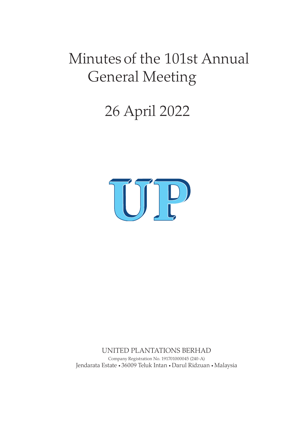# Minutes of the 101st Annual General Meeting

# 26 April 2022



UNITED PLANTATIONS BERHAD Company Registration No. 191701000045 (240-A) Jendarata Estate • 36009 Teluk Intan • Darul Ridzuan • Malaysia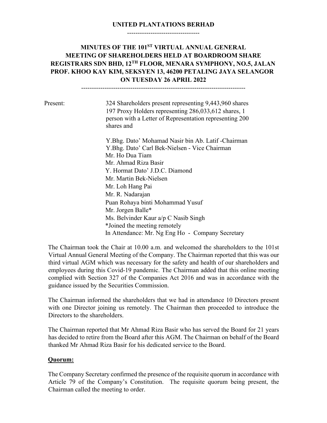#### **UNITED PLANTATIONS BERHAD**  ----------------------------------

# **MINUTES OF THE 101ST VIRTUAL ANNUAL GENERAL MEETING OF SHAREHOLDERS HELD AT BOARDROOM SHARE REGISTRARS SDN BHD, 12TH FLOOR, MENARA SYMPHONY, NO.5, JALAN PROF. KHOO KAY KIM, SEKSYEN 13, 46200 PETALING JAYA SELANGOR ON TUESDAY 26 APRIL 2022**

-----------------------------------------------------------------------------

Present: 324 Shareholders present representing 9,443,960 shares 197 Proxy Holders representing 286,033,612 shares, 1 person with a Letter of Representation representing 200 shares and

> Y.Bhg. Dato' Mohamad Nasir bin Ab. Latif -Chairman Y.Bhg. Dato' Carl Bek-Nielsen - Vice Chairman Mr. Ho Dua Tiam Mr. Ahmad Riza Basir Y. Hormat Dato' J.D.C. Diamond Mr. Martin Bek-Nielsen Mr. Loh Hang Pai Mr. R. Nadarajan Puan Rohaya binti Mohammad Yusuf Mr. Jorgen Balle\* Ms. Belvinder Kaur a/p C Nasib Singh \*Joined the meeting remotely In Attendance: Mr. Ng Eng Ho - Company Secretary

The Chairman took the Chair at 10.00 a.m. and welcomed the shareholders to the 101st Virtual Annual General Meeting of the Company. The Chairman reported that this was our third virtual AGM which was necessary for the safety and health of our shareholders and employees during this Covid-19 pandemic. The Chairman added that this online meeting complied with Section 327 of the Companies Act 2016 and was in accordance with the guidance issued by the Securities Commission.

The Chairman informed the shareholders that we had in attendance 10 Directors present with one Director joining us remotely. The Chairman then proceeded to introduce the Directors to the shareholders.

The Chairman reported that Mr Ahmad Riza Basir who has served the Board for 21 years has decided to retire from the Board after this AGM. The Chairman on behalf of the Board thanked Mr Ahmad Riza Basir for his dedicated service to the Board.

#### **Quorum:**

The Company Secretary confirmed the presence of the requisite quorum in accordance with Article 79 of the Company's Constitution. The requisite quorum being present, the Chairman called the meeting to order.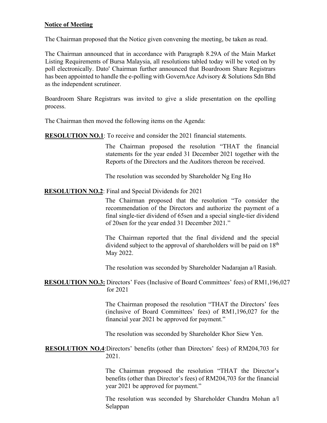#### **Notice of Meeting**

The Chairman proposed that the Notice given convening the meeting, be taken as read.

The Chairman announced that in accordance with Paragraph 8.29A of the Main Market Listing Requirements of Bursa Malaysia, all resolutions tabled today will be voted on by poll electronically. Dato' Chairman further announced that Boardroom Share Registrars has been appointed to handle the e-polling with GovernAce Advisory & Solutions Sdn Bhd as the independent scrutineer.

Boardroom Share Registrars was invited to give a slide presentation on the epolling process.

The Chairman then moved the following items on the Agenda:

**RESOLUTION NO.1**: To receive and consider the 2021 financial statements.

The Chairman proposed the resolution "THAT the financial statements for the year ended 31 December 2021 together with the Reports of the Directors and the Auditors thereon be received.

The resolution was seconded by Shareholder Ng Eng Ho

#### **RESOLUTION NO.2**: Final and Special Dividends for 2021

The Chairman proposed that the resolution "To consider the recommendation of the Directors and authorize the payment of a final single-tier dividend of 65sen and a special single-tier dividend of 20sen for the year ended 31 December 2021."

The Chairman reported that the final dividend and the special dividend subject to the approval of shareholders will be paid on 18<sup>th</sup> May 2022.

The resolution was seconded by Shareholder Nadarajan a/l Rasiah.

**RESOLUTION NO.3:** Directors' Fees (Inclusive of Board Committees' fees) of RM1,196,027 for 2021

> The Chairman proposed the resolution "THAT the Directors' fees (inclusive of Board Committees' fees) of RM1,196,027 for the financial year 2021 be approved for payment."

The resolution was seconded by Shareholder Khor Siew Yen.

**RESOLUTION NO.4**:Directors' benefits (other than Directors' fees) of RM204,703 for 2021.

> The Chairman proposed the resolution "THAT the Director's benefits (other than Director's fees) of RM204,703 for the financial year 2021 be approved for payment."

> The resolution was seconded by Shareholder Chandra Mohan a/l Selappan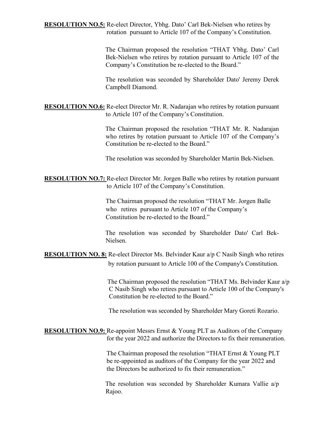**RESOLUTION NO.5:** Re-elect Director, Ybhg. Dato' Carl Bek-Nielsen who retires by rotation pursuant to Article 107 of the Company's Constitution.

> The Chairman proposed the resolution "THAT Ybhg. Dato' Carl Bek-Nielsen who retires by rotation pursuant to Article 107 of the Company's Constitution be re-elected to the Board."

> The resolution was seconded by Shareholder Dato' Jeremy Derek Campbell Diamond.

**RESOLUTION NO.6:** Re-elect Director Mr. R. Nadarajan who retires by rotation pursuant to Article 107 of the Company's Constitution.

> The Chairman proposed the resolution "THAT Mr. R. Nadarajan who retires by rotation pursuant to Article 107 of the Company's Constitution be re-elected to the Board."

The resolution was seconded by Shareholder Martin Bek-Nielsen.

**RESOLUTION NO.7:** Re-elect Director Mr. Jorgen Balle who retires by rotation pursuant to Article 107 of the Company's Constitution.

> The Chairman proposed the resolution "THAT Mr. Jorgen Balle who retires pursuant to Article 107 of the Company's Constitution be re-elected to the Board."

The resolution was seconded by Shareholder Dato' Carl Bek-Nielsen.

**RESOLUTION NO. 8:** Re-elect Director Ms. Belvinder Kaur a/p C Nasib Singh who retires by rotation pursuant to Article 100 of the Company's Constitution.

> The Chairman proposed the resolution "THAT Ms. Belvinder Kaur a/p C Nasib Singh who retires pursuant to Article 100 of the Company's Constitution be re-elected to the Board."

The resolution was seconded by Shareholder Mary Goreti Rozario.

**RESOLUTION NO.9:** Re-appoint Messrs Ernst & Young PLT as Auditors of the Company for the year 2022 and authorize the Directors to fix their remuneration.

> The Chairman proposed the resolution "THAT Ernst & Young PLT be re-appointed as auditors of the Company for the year 2022 and the Directors be authorized to fix their remuneration."

> The resolution was seconded by Shareholder Kumara Vallie a/p Rajoo.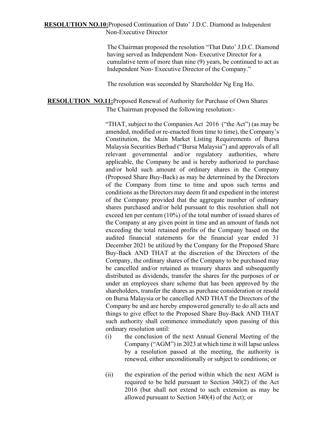#### **RESOLUTION NO.10:**Proposed Continuation of Dato' J.D.C. Diamond as Independent Non-Executive Director

The Chairman proposed the resolution "That Dato' J.D.C. Diamond having served as Independent Non- Executive Director for a cumulative term of more than nine (9) years, be continued to act as Independent Non- Executive Director of the Company."

The resolution was seconded by Shareholder Ng Eng Ho.

# **RESOLUTION NO.11:**Proposed Renewal of Authority for Purchase of Own Shares The Chairman proposed the following resolution:-

"THAT, subject to the Companies Act 2016 ("the Act") (as may be amended, modified or re-enacted from time to time), the Company's Constitution, the Main Market Listing Requirements of Bursa Malaysia Securities Berhad ("Bursa Malaysia") and approvals of all relevant governmental and/or regulatory authorities, where applicable, the Company be and is hereby authorized to purchase and/or hold such amount of ordinary shares in the Company (Proposed Share Buy-Back) as may be determined by the Directors of the Company from time to time and upon such terms and conditions as the Directors may deem fit and expedient in the interest of the Company provided that the aggregate number of ordinary shares purchased and/or held pursuant to this resolution shall not exceed ten per centum (10%) of the total number of issued shares of the Company at any given point in time and an amount of funds not exceeding the total retained profits of the Company based on the audited financial statements for the financial year ended 31 December 2021 be utilized by the Company for the Proposed Share Buy-Back AND THAT at the discretion of the Directors of the Company, the ordinary shares of the Company to be purchased may be cancelled and/or retained as treasury shares and subsequently distributed as dividends, transfer the shares for the purposes of or under an employees share scheme that has been approved by the shareholders, transfer the shares as purchase consideration or resold on Bursa Malaysia or be cancelled AND THAT the Directors of the Company be and are hereby empowered generally to do all acts and things to give effect to the Proposed Share Buy-Back AND THAT such authority shall commence immediately upon passing of this ordinary resolution until:

- (i) the conclusion of the next Annual General Meeting of the Company ("AGM") in 2023 at which time it will lapse unless by a resolution passed at the meeting, the authority is renewed, either unconditionally or subject to conditions; or
- (ii) the expiration of the period within which the next AGM is required to be held pursuant to Section 340(2) of the Act 2016 (but shall not extend to such extension as may be allowed pursuant to Section 340(4) of the Act); or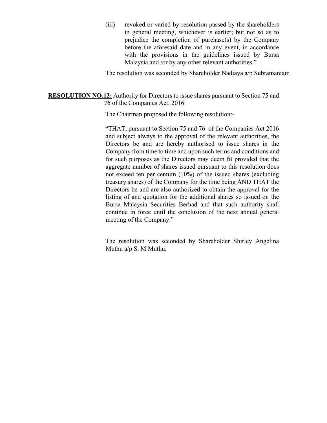(iii) revoked or varied by resolution passed by the shareholders in general meeting, whichever is earlier; but not so as to prejudice the completion of purchase(s) by the Company before the aforesaid date and in any event, in accordance with the provisions in the guidelines issued by Bursa Malaysia and /or by any other relevant authorities."

The resolution was seconded by Shareholder Nadiaya a/p Subramaniam

#### **RESOLUTION NO.12:** Authority for Directors to issue shares pursuant to Section 75 and 76 of the Companies Act, 2016

The Chairman proposed the following resolution:-

"THAT, pursuant to Section 75 and 76 of the Companies Act 2016 and subject always to the approval of the relevant authorities, the Directors be and are hereby authorised to issue shares in the Company from time to time and upon such terms and conditions and for such purposes as the Directors may deem fit provided that the aggregate number of shares issued pursuant to this resolution does not exceed ten per centum (10%) of the issued shares (excluding treasury shares) of the Company for the time being AND THAT the Directors be and are also authorized to obtain the approval for the listing of and quotation for the additional shares so issued on the Bursa Malaysia Securities Berhad and that such authority shall continue in force until the conclusion of the next annual general meeting of the Company."

The resolution was seconded by Shareholder Shirley Angelina Muthu a/p S. M Muthu.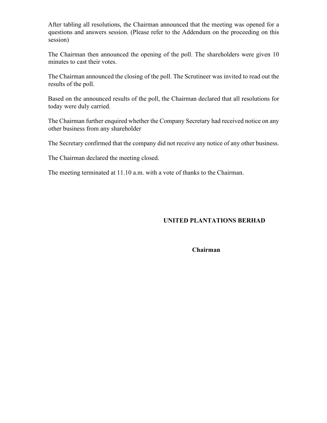After tabling all resolutions, the Chairman announced that the meeting was opened for a questions and answers session. (Please refer to the Addendum on the proceeding on this session)

The Chairman then announced the opening of the poll. The shareholders were given 10 minutes to cast their votes.

The Chairman announced the closing of the poll. The Scrutineer was invited to read out the results of the poll.

Based on the announced results of the poll, the Chairman declared that all resolutions for today were duly carried.

The Chairman further enquired whether the Company Secretary had received notice on any other business from any shareholder

The Secretary confirmed that the company did not receive any notice of any other business.

The Chairman declared the meeting closed.

The meeting terminated at 11.10 a.m. with a vote of thanks to the Chairman.

# **UNITED PLANTATIONS BERHAD**

 **Chairman**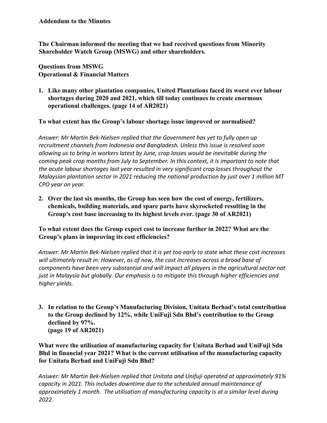**The Chairman informed the meeting that we had received questions from Minority Shareholder Watch Group (MSWG) and other shareholders.**

**Questions from MSWG Operational & Financial Matters** 

**1. Like many other plantation companies, United Plantations faced its worst ever labour shortages during 2020 and 2021, which till today continues to create enormous operational challenges. (page 14 of AR2021)**

**To what extent has the Group's labour shortage issue improved or normalised?**

*Answer: Mr Martin Bek-Nielsen replied that the Government has yet to fully open up recruitment channels from Indonesia and Bangladesh. Unless this issue is resolved soon allowing us to bring in workers latest by June, crop losses would be inevitable during the coming peak crop months from July to September. In this context, it is important to note that the acute labour shortages last year resulted in very significant crop losses throughout the Malaysian plantation sector in 2021 reducing the national production by just over 1 million MT CPO year on year.* 

**2. Over the last six months, the Group has seen how the cost of energy, fertilizers, chemicals, building materials, and spare parts have skyrocketed resulting in the Group's cost base increasing to its highest levels ever. (page 30 of AR2021)**

**To what extent does the Group expect cost to increase further in 2022? What are the Group's plans in improving its cost efficiencies?** 

*Answer: Mr Martin Bek-Nielsen replied that it is yet too early to state what these cost increases will ultimately result in. However, as of now, the cost increases across a broad base of components have been very substantial and will impact all players in the agricultural sector not just in Malaysia but globally. Our emphasis is to mitigate this through higher efficiencies and higher yields.* 

**3. In relation to the Group's Manufacturing Division, Unitata Berhad's total contribution to the Group declined by 12%, while UniFuji Sdn Bhd's contribution to the Group declined by 97%. (page 19 of AR2021)**

**What were the utilisation of manufacturing capacity for Unitata Berhad and UniFuji Sdn Bhd in financial year 2021? What is the current utilisation of the manufacturing capacity for Unitata Berhad and UniFuji Sdn Bhd?** 

*Answer: Mr Martin Bek-Nielsen replied that Unitata and Unifuji operated at approximately 91% capacity in 2021. This includes downtime due to the scheduled annual maintenance of approximately 1 month. The utilisation of manufacturing capacity is at a similar level during 2022.*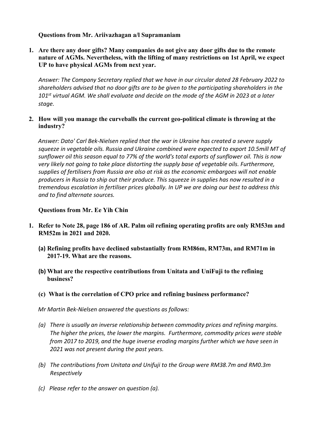## **Questions from Mr. Ariivazhagan a/l Supramaniam**

**1. Are there any door gifts? Many companies do not give any door gifts due to the remote nature of AGMs. Nevertheless, with the lifting of many restrictions on 1st April, we expect UP to have physical AGMs from next year.**

*Answer: The Company Secretary replied that we have in our circular dated 28 February 2022 to shareholders advised that no door gifts are to be given to the participating shareholders in the 101st virtual AGM. We shall evaluate and decide on the mode of the AGM in 2023 at a later stage.*

#### **2. How will you manage the curveballs the current geo-political climate is throwing at the industry?**

*Answer: Dato' Carl Bek-Nielsen replied that the war in Ukraine has created a severe supply squeeze in vegetable oils. Russia and Ukraine combined were expected to export 10.5mill MT of sunflower oil this season equal to 77% of the world's total exports of sunflower oil. This is now very likely not going to take place distorting the supply base of vegetable oils. Furthermore, supplies of fertilisers from Russia are also at risk as the economic embargoes will not enable producers in Russia to ship out their produce. This squeeze in supplies has now resulted in a tremendous escalation in fertiliser prices globally. In UP we are doing our best to address this and to find alternate sources.*

#### **Questions from Mr. Ee Yih Chin**

- **1. Refer to Note 28, page 186 of AR. Palm oil refining operating profits are only RM53m and RM52m in 2021 and 2020.**
	- **(a) Refining profits have declined substantially from RM86m, RM73m, and RM71m in 2017-19. What are the reasons.**
	- **(b) What are the respective contributions from Unitata and UniFuji to the refining business?**
	- **(c) What is the correlation of CPO price and refining business performance?**

*Mr Martin Bek-Nielsen answered the questions as follows:*

- *(a) There is usually an inverse relationship between commodity prices and refining margins. The higher the prices, the lower the margins. Furthermore, commodity prices were stable from 2017 to 2019, and the huge inverse eroding margins further which we have seen in 2021 was not present during the past years.*
- *(b) The contributions from Unitata and Unifuji to the Group were RM38.7m and RM0.3m Respectively*
- *(c) Please refer to the answer on question (a).*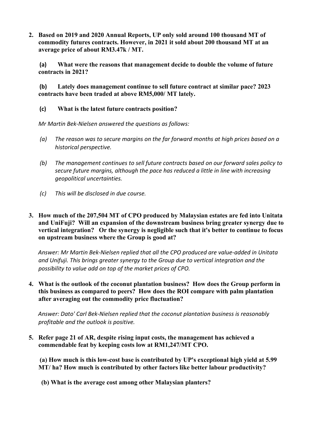**2. Based on 2019 and 2020 Annual Reports, UP only sold around 100 thousand MT of commodity futures contracts. However, in 2021 it sold about 200 thousand MT at an average price of about RM3.47k / MT.**

**(a) What were the reasons that management decide to double the volume of future contracts in 2021?**

**(b) Lately does management continue to sell future contract at similar pace? 2023 contracts have been traded at above RM5,000/ MT lately.** 

**(c) What is the latest future contracts position?**

*Mr Martin Bek-Nielsen answered the questions as follows:*

- *(a) The reason was to secure margins on the far forward months at high prices based on a historical perspective.*
- *(b) The management continues to sell future contracts based on our forward sales policy to secure future margins, although the pace has reduced a little in line with increasing geopolitical uncertainties.*
- *(c) This will be disclosed in due course.*
- **3. How much of the 207,504 MT of CPO produced by Malaysian estates are fed into Unitata and UniFuji? Will an expansion of the downstream business bring greater synergy due to vertical integration? Or the synergy is negligible such that it's better to continue to focus on upstream business where the Group is good at?**

*Answer: Mr Martin Bek-Nielsen replied that all the CPO produced are value-added in Unitata and Unifuji. This brings greater synergy to the Group due to vertical integration and the possibility to value add on top of the market prices of CPO.*

**4. What is the outlook of the coconut plantation business? How does the Group perform in this business as compared to peers? How does the ROI compare with palm plantation after averaging out the commodity price fluctuation?**

*Answer: Dato' Carl Bek-Nielsen replied that the coconut plantation business is reasonably profitable and the outlook is positive.*

**5. Refer page 21 of AR, despite rising input costs, the management has achieved a commendable feat by keeping costs low at RM1,247/MT CPO.**

**(a) How much is this low-cost base is contributed by UP's exceptional high yield at 5.99 MT/ ha? How much is contributed by other factors like better labour productivity?**

**(b) What is the average cost among other Malaysian planters?**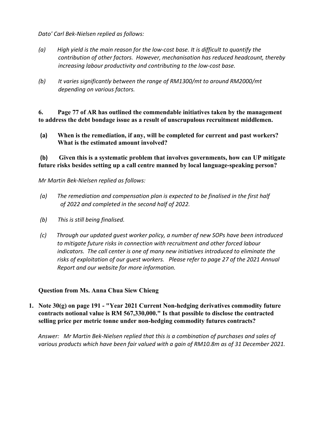*Dato' Carl Bek-Nielsen replied as follows:*

- *(a) High yield is the main reason for the low-cost base. It is difficult to quantify the contribution of other factors. However, mechanisation has reduced headcount, thereby increasing labour productivity and contributing to the low-cost base.*
- *(b) It varies significantly between the range of RM1300/mt to around RM2000/mt depending on various factors.*

**6. Page 77 of AR has outlined the commendable initiatives taken by the management to address the debt bondage issue as a result of unscrupulous recruitment middlemen.**

**(a) When is the remediation, if any, will be completed for current and past workers? What is the estimated amount involved?**

**(b) Given this is a systematic problem that involves governments, how can UP mitigate future risks besides setting up a call centre manned by local language-speaking person?** 

*Mr Martin Bek-Nielsen replied as follows:*

- *(a) The remediation and compensation plan is expected to be finalised in the first half of 2022 and completed in the second half of 2022.*
- *(b) This is still being finalised.*
- *(c) Through our updated guest worker policy, a number of new SOPs have been introduced to mitigate future risks in connection with recruitment and other forced labour indicators. The call center is one of many new initiatives introduced to eliminate the risks of exploitation of our guest workers. Please refer to page 27 of the 2021 Annual Report and our website for more information.*

#### **Question from Ms. Anna Chua Siew Chieng**

**1. Note 30(g) on page 191 - "Year 2021 Current Non-hedging derivatives commodity future contracts notional value is RM 567,330,000." Is that possible to disclose the contracted selling price per metric tonne under non-hedging commodity futures contracts?**

*Answer: Mr Martin Bek-Nielsen replied that this is a combination of purchases and sales of various products which have been fair valued with a gain of RM10.8m as of 31 December 2021.*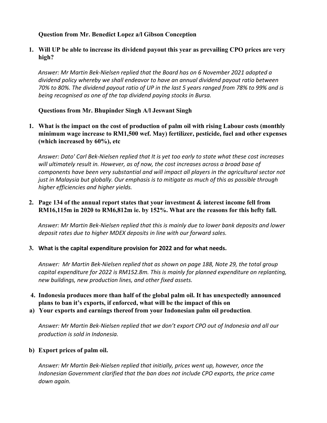## **Question from Mr. Benedict Lopez a/l Gibson Conception**

**1. Will UP be able to increase its dividend payout this year as prevailing CPO prices are very high?**

*Answer: Mr Martin Bek-Nielsen replied that the Board has on 6 November 2021 adopted a dividend policy whereby we shall endeavor to have an annual dividend payout ratio between 70% to 80%. The dividend payout ratio of UP in the last 5 years ranged from 78% to 99% and is being recognised as one of the top dividend paying stocks in Bursa.*

## **Questions from Mr. Bhupinder Singh A/l Jeswant Singh**

**1. What is the impact on the cost of production of palm oil with rising Labour costs (monthly minimum wage increase to RM1,500 wef. May) fertilizer, pesticide, fuel and other expenses (which increased by 60%), etc**

*Answer: Dato' Carl Bek-Nielsen replied that It is yet too early to state what these cost increases will ultimately result in. However, as of now, the cost increases across a broad base of components have been very substantial and will impact all players in the agricultural sector not just in Malaysia but globally. Our emphasis is to mitigate as much of this as possible through higher efficiencies and higher yields.*

## **2. Page 134 of the annual report states that your investment & interest income fell from RM16,115m in 2020 to RM6,812m ie. by 152%. What are the reasons for this hefty fall.**

*Answer: Mr Martin Bek-Nielsen replied that this is mainly due to lower bank deposits and lower deposit rates due to higher MDEX deposits in line with our forward sales.*

#### **3. What is the capital expenditure provision for 2022 and for what needs.**

*Answer: Mr Martin Bek-Nielsen replied that as shown on page 188, Note 29, the total group capital expenditure for 2022 is RM152.8m. This is mainly for planned expenditure on replanting, new buildings, new production lines, and other fixed assets.*

# **4. Indonesia produces more than half of the global palm oil. It has unexpectedly announced plans to ban it's exports, if enforced, what will be the impact of this on**

**a) Your exports and earnings thereof from your Indonesian palm oil production***.*

*Answer: Mr Martin Bek-Nielsen replied that we don't export CPO out of Indonesia and all our production is sold in Indonesia.*

## **b) Export prices of palm oil.**

*Answer: Mr Martin Bek-Nielsen replied that initially, prices went up, however, once the Indonesian Government clarified that the ban does not include CPO exports, the price came down again.*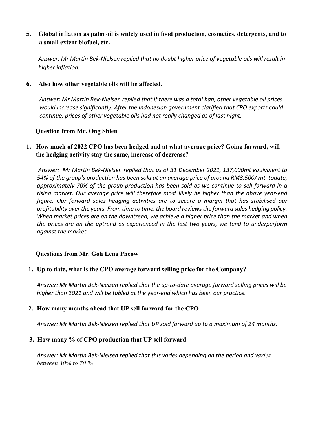# **5. Global inflation as palm oil is widely used in food production, cosmetics, detergents, and to a small extent biofuel, etc.**

*Answer: Mr Martin Bek-Nielsen replied that no doubt higher price of vegetable oils will result in higher inflation.*

**6. Also how other vegetable oils will be affected.**

 *Answer: Mr Martin Bek-Nielsen replied that if there was a total ban, other vegetable oil prices would increase significantly. After the Indonesian government clarified that CPO exports could continue, prices of other vegetable oils had not really changed as of last night.*

## **Question from Mr. Ong Shien**

# **1. How much of 2022 CPO has been hedged and at what average price? Going forward, will the hedging activity stay the same, increase of decrease?**

 *Answer: Mr Martin Bek-Nielsen replied that as of 31 December 2021, 137,000mt equivalent to 54% of the group's production has been sold at an average price of around RM3,500/ mt. todate, approximately 70% of the group production has been sold as we continue to sell forward in a rising market. Our average price will therefore most likely be higher than the above year-end figure. Our forward sales hedging activities are to secure a margin that has stabilised our profitability over the years. From time to time, the board reviews the forward sales hedging policy. When market prices are on the downtrend, we achieve a higher price than the market and when the prices are on the uptrend as experienced in the last two years, we tend to underperform against the market.*

## **Questions from Mr. Goh Leng Pheow**

#### **1. Up to date, what is the CPO average forward selling price for the Company?**

*Answer: Mr Martin Bek-Nielsen replied that the up-to-date average forward selling prices will be higher than 2021 and will be tabled at the year-end which has been our practice.*

## **2. How many months ahead that UP sell forward for the CPO**

*Answer: Mr Martin Bek-Nielsen replied that UP sold forward up to a maximum of 24 months.*

## **3. How many % of CPO production that UP sell forward**

Answer: Mr Martin Bek-Nielsen replied that this varies depending on the period and varies *between 30% to 70 %*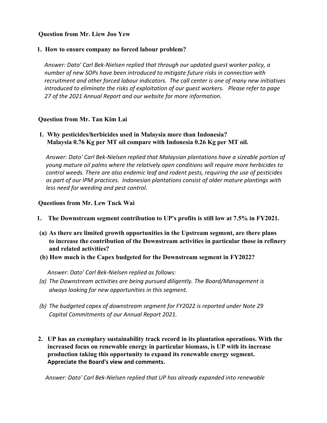#### **Question from Mr. Liew Joo Yew**

#### **1. How to ensure company no forced labour problem?**

*Answer: Dato' Carl Bek-Nielsen replied that through our updated guest worker policy, a number of new SOPs have been introduced to mitigate future risks in connection with recruitment and other forced labour indicators. The call center is one of many new initiatives introduced to eliminate the risks of exploitation of our guest workers. Please refer to page 27 of the 2021 Annual Report and our website for more information.*

## **Question from Mr. Tan Kim Lai**

 **1. Why pesticides/herbicides used in Malaysia more than Indonesia? Malaysia 0.76 Kg per MT oil compare with Indonesia 0.26 Kg per MT oil.**

*Answer: Dato' Carl Bek-Nielsen replied that Malaysian plantations have a sizeable portion of young mature oil palms where the relatively open conditions will require more herbicides to control weeds. There are also endemic leaf and rodent pests, requiring the use of pesticides as part of our IPM practices. Indonesian plantations consist of older mature plantings with less need for weeding and pest control.*

#### **Questions from Mr. Lew Tuck Wai**

- **1. The Downstream segment contribution to UP's profits is still low at 7.5% in FY2021.**
- **(a) As there are limited growth opportunities in the Upstream segment, are there plans to increase the contribution of the Downstream activities in particular those in refinery and related activities?**
- **(b) How much is the Capex budgeted for the Downstream segment in FY2022?**

 *Answer: Dato' Carl Bek-Nielsen replied as follows:*

- *(a) The Downstream activities are being pursued diligently. The Board/Management is always looking for new opportunities in this segment.*
- *(b) The budgeted capex of downstream segment for FY2022 is reported under Note 29 Capital Commitments of our Annual Report 2021.*
- **2. UP has an exemplary sustainability track record in its plantation operations. With the increased focus on renewable energy in particular biomass, is UP with its increase production taking this opportunity to expand its renewable energy segment. Appreciate the Board's view and comments.**

 *Answer: Dato' Carl Bek-Nielsen replied that UP has already expanded into renewable*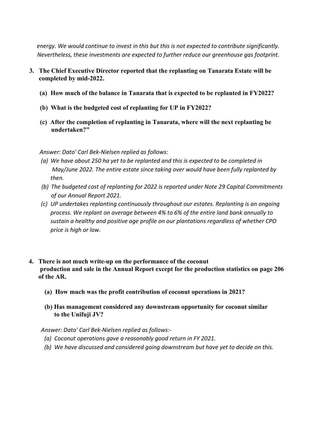*energy. We would continue to invest in this but this is not expected to contribute significantly. Nevertheless, these investments are expected to further reduce our greenhouse gas footprint.*

- **3. The Chief Executive Director reported that the replanting on Tanarata Estate will be completed by mid-2022.**
	- **(a) How much of the balance in Tanarata that is expected to be replanted in FY2022?**
	- **(b) What is the budgeted cost of replanting for UP in FY2022?**
	- **(c) After the completion of replanting in Tanarata, where will the next replanting be undertaken?"**

*Answer: Dato' Carl Bek-Nielsen replied as follows:*

- *(a) We have about 250 ha yet to be replanted and this is expected to be completed in May/June 2022. The entire estate since taking over would have been fully replanted by then.*
- *(b) The budgeted cost of replanting for 2022 is reported under Note 29 Capital Commitments of our Annual Report 2021.*
- *(c) UP undertakes replanting continuously throughout our estates. Replanting is an ongoing process. We replant on average between 4% to 6% of the entire land bank annually to sustain a healthy and positive age profile on our plantations regardless of whether CPO price is high or low.*
- **4. There is not much write-up on the performance of the coconut production and sale in the Annual Report except for the production statistics on page 206 of the AR.** 
	- **(a) How much was the profit contribution of coconut operations in 2021?**
	- **(b) Has management considered any downstream opportunity for coconut similar to the Unifuji JV?**

 *Answer: Dato' Carl Bek-Nielsen replied as follows:-*

- *(a) Coconut operations gave a reasonably good return in FY 2021.*
- *(b) We have discussed and considered going downstream but have yet to decide on this.*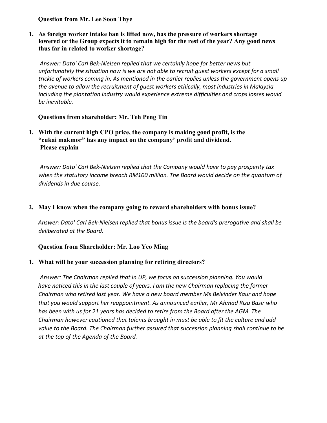**Question from Mr. Lee Soon Thye**

**1. As foreign worker intake ban is lifted now, has the pressure of workers shortage lowered or the Group expects it to remain high for the rest of the year? Any good news thus far in related to worker shortage?**

*Answer: Dato' Carl Bek-Nielsen replied that we certainly hope for better news but unfortunately the situation now is we are not able to recruit guest workers except for a small trickle of workers coming in. As mentioned in the earlier replies unless the government opens up the avenue to allow the recruitment of guest workers ethically, most industries in Malaysia including the plantation industry would experience extreme difficulties and crops losses would be inevitable.*

## **Questions from shareholder: Mr. Teh Peng Tin**

**1. With the current high CPO price, the company is making good profit, is the "cukai makmor" has any impact on the company' profit and dividend. Please explain**

*Answer: Dato' Carl Bek-Nielsen replied that the Company would have to pay prosperity tax when the statutory income breach RM100 million. The Board would decide on the quantum of dividends in due course.* 

## **2. May I know when the company going to reward shareholders with bonus issue?**

*Answer: Dato' Carl Bek-Nielsen replied that bonus issue is the board's prerogative and shall be deliberated at the Board.* 

## **Question from Shareholder: Mr. Loo Yeo Ming**

## **1. What will be your succession planning for retiring directors?**

*Answer: The Chairman replied that in UP, we focus on succession planning. You would have noticed this in the last couple of years. I am the new Chairman replacing the former Chairman who retired last year. We have a new board member Ms Belvinder Kaur and hope that you would support her reappointment. As announced earlier, Mr Ahmad Riza Basir who has been with us for 21 years has decided to retire from the Board after the AGM. The Chairman however cautioned that talents brought in must be able to fit the culture and add value to the Board. The Chairman further assured that succession planning shall continue to be at the top of the Agenda of the Board.*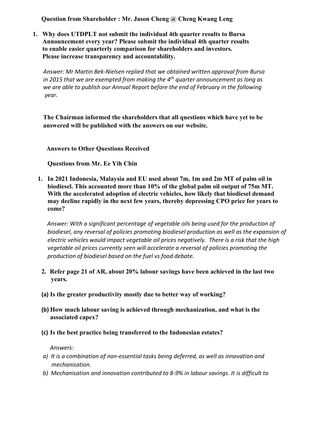**Question from Shareholder : Mr. Jason Cheng @ Cheng Kwang Leng**

 **1. Why does UTDPLT not submit the individual 4th quarter results to Bursa Announcement every year? Please submit the individual 4th quarter results to enable easier quarterly comparison for shareholders and investors. Please increase transparency and accountability.**

 *Answer: Mr Martin Bek-Nielsen replied that we obtained written approval from Bursa in 2015 that we are exempted from making the 4th quarter announcement as long as we are able to publish our Annual Report before the end of February in the following year.* 

 **The Chairman informed the shareholders that all questions which have yet to be answered will be published with the answers on our website.**

 **Answers to Other Questions Received**

**Questions from Mr. Ee Yih Chin**

**1. In 2021 Indonesia, Malaysia and EU used about 7m, 1m and 2m MT of palm oil in biodiesel. This accounted more than 10% of the global palm oil output of 75m MT. With the accelerated adoption of electric vehicles, how likely that biodiesel demand may decline rapidly in the next few years, thereby depressing CPO price for years to come?**

*Answer: With a significant percentage of vegetable oils being used for the production of biodiesel, any reversal of policies promoting biodiesel production as well as the expansion of electric vehicles would impact vegetable oil prices negatively. There is a risk that the high vegetable oil prices currently seen will accelerate a reversal of policies promoting the production of biodiesel based on the fuel vs food debate.*

- **2. Refer page 21 of AR, about 20% labour savings have been achieved in the last two years.**
- **(a) Is the greater productivity mostly due to better way of working?**
- **(b) How much labour saving is achieved through mechanization, and what is the associated capex?**
- **(c) Is the best practice being transferred to the Indonesian estates?**

 *Answers:*

- *a) It is a combination of non-essential tasks being deferred, as well as innovation and mechanisation.*
- *b) Mechanisation and innovation contributed to 8-9% in labour savings. It is difficult to*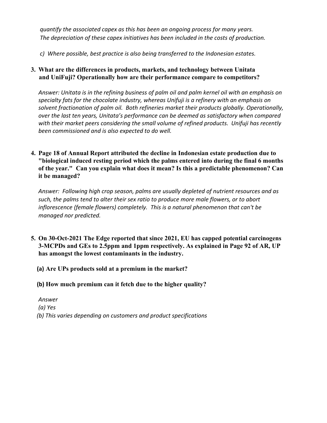*quantify the associated capex as this has been an ongoing process for many years. The depreciation of these capex initiatives has been included in the costs of production.*

*c) Where possible, best practice is also being transferred to the Indonesian estates.*

**3. What are the differences in products, markets, and technology between Unitata and UniFuji? Operationally how are their performance compare to competitors?**

*Answer: Unitata is in the refining business of palm oil and palm kernel oil with an emphasis on specialty fats for the chocolate industry, whereas Unifuji is a refinery with an emphasis on solvent fractionation of palm oil. Both refineries market their products globally. Operationally, over the last ten years, Unitata's performance can be deemed as satisfactory when compared with their market peers considering the small volume of refined products. Unifuji has recently been commissioned and is also expected to do well.*

**4. Page 18 of Annual Report attributed the decline in Indonesian estate production due to "biological induced resting period which the palms entered into during the final 6 months of the year." Can you explain what does it mean? Is this a predictable phenomenon? Can it be managed?**

*Answer: Following high crop season, palms are usually depleted of nutrient resources and as such, the palms tend to alter their sex ratio to produce more male flowers, or to abort inflorescence (female flowers) completely. This is a natural phenomenon that can't be managed nor predicted.*

- **5. On 30-Oct-2021 The Edge reported that since 2021, EU has capped potential carcinogens 3-MCPDs and GEs to 2.5ppm and 1ppm respectively. As explained in Page 92 of AR, UP has amongst the lowest contaminants in the industry.**
	- **(a) Are UPs products sold at a premium in the market?**
	- **(b) How much premium can it fetch due to the higher quality?**

*Answer (a) Yes (b) This varies depending on customers and product specifications*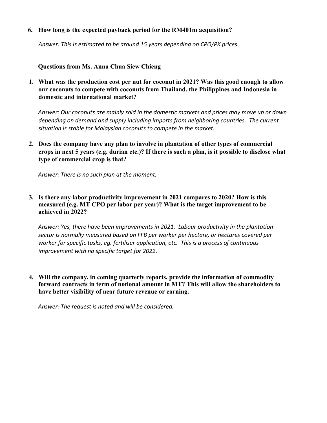#### **6. How long is the expected payback period for the RM401m acquisition?**

*Answer: This is estimated to be around 15 years depending on CPO/PK prices.*

#### **Questions from Ms. Anna Chua Siew Chieng**

**1. What was the production cost per nut for coconut in 2021? Was this good enough to allow our coconuts to compete with coconuts from Thailand, the Philippines and Indonesia in domestic and international market?**

*Answer: Our coconuts are mainly sold in the domestic markets and prices may move up or down depending on demand and supply including imports from neighboring countries. The current situation is stable for Malaysian coconuts to compete in the market.*

**2. Does the company have any plan to involve in plantation of other types of commercial crops in next 5 years (e.g. durian etc.)? If there is such a plan, is it possible to disclose what type of commercial crop is that?**

*Answer: There is no such plan at the moment.*

**3. Is there any labor productivity improvement in 2021 compares to 2020? How is this measured (e.g. MT CPO per labor per year)? What is the target improvement to be achieved in 2022?**

*Answer: Yes, there have been improvements in 2021. Labour productivity in the plantation sector is normally measured based on FFB per worker per hectare, or hectares covered per worker for specific tasks, eg. fertiliser application, etc. This is a process of continuous improvement with no specific target for 2022.*

**4. Will the company, in coming quarterly reports, provide the information of commodity forward contracts in term of notional amount in MT? This will allow the shareholders to have better visibility of near future revenue or earning.**

*Answer: The request is noted and will be considered.*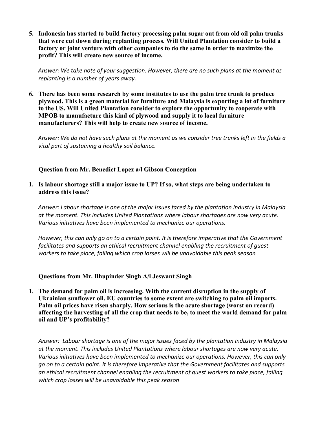**5. Indonesia has started to build factory processing palm sugar out from old oil palm trunks that were cut down during replanting process. Will United Plantation consider to build a factory or joint venture with other companies to do the same in order to maximize the profit? This will create new source of income.**

*Answer: We take note of your suggestion. However, there are no such plans at the moment as replanting is a number of years away.*

**6. There has been some research by some institutes to use the palm tree trunk to produce plywood. This is a green material for furniture and Malaysia is exporting a lot of furniture to the US. Will United Plantation consider to explore the opportunity to cooperate with MPOB to manufacture this kind of plywood and supply it to local furniture manufacturers? This will help to create new source of income.**

*Answer: We do not have such plans at the moment as we consider tree trunks left in the fields a vital part of sustaining a healthy soil balance.*

## **Question from Mr. Benedict Lopez a/l Gibson Conception**

**1. Is labour shortage still a major issue to UP? If so, what steps are being undertaken to address this issue?**

*Answer: Labour shortage is one of the major issues faced by the plantation industry in Malaysia at the moment. This includes United Plantations where labour shortages are now very acute. Various initiatives have been implemented to mechanize our operations.*

*However, this can only go on to a certain point. It is therefore imperative that the Government facilitates and supports an ethical recruitment channel enabling the recruitment of guest workers to take place, failing which crop losses will be unavoidable this peak season*

#### **Questions from Mr. Bhupinder Singh A/l Jeswant Singh**

**1. The demand for palm oil is increasing. With the current disruption in the supply of Ukrainian sunflower oil. EU countries to some extent are switching to palm oil imports. Palm oil prices have risen sharply. How serious is the acute shortage (worst on record) affecting the harvesting of all the crop that needs to be, to meet the world demand for palm oil and UP's profitability?**

*Answer: Labour shortage is one of the major issues faced by the plantation industry in Malaysia at the moment. This includes United Plantations where labour shortages are now very acute. Various initiatives have been implemented to mechanize our operations. However, this can only go on to a certain point. It is therefore imperative that the Government facilitates and supports an ethical recruitment channel enabling the recruitment of guest workers to take place, failing which crop losses will be unavoidable this peak season*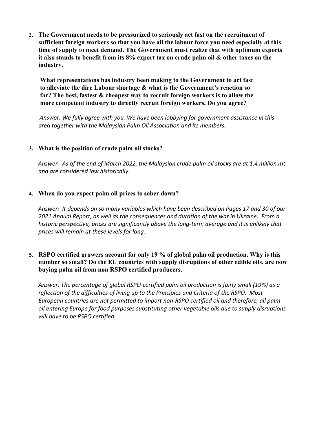**2. The Government needs to be pressurized to seriously act fast on the recruitment of sufficient foreign workers so that you have all the labour force you need especially at this time of supply to meet demand. The Government must realize that with optimum exports it also stands to benefit from its 8% export tax on crude palm oil & other taxes on the industry.**

**What representations has industry been making to the Government to act fast to alleviate the dire Labour shortage & what is the Government's reaction so far? The best, fastest & cheapest way to recruit foreign workers is to allow the more competent industry to directly recruit foreign workers. Do you agree?**

*Answer: We fully agree with you. We have been lobbying for government assistance in this area together with the Malaysian Palm Oil Association and its members.*

## **3. What is the position of crude palm oil stocks?**

*Answer: As of the end of March 2022, the Malaysian crude palm oil stocks are at 1.4 million mt and are considered low historically.*

#### **4. When do you expect palm oil prices to sober down?**

*Answer: It depends on so many variables which have been described on Pages 17 and 30 of our 2021 Annual Report, as well as the consequences and duration of the war in Ukraine. From a historic perspective, prices are significantly above the long-term average and it is unlikely that prices will remain at these levels for long.*

## **5. RSPO certified growers account for only 19 % of global palm oil production. Why is this number so small? Do the EU countries with supply disruptions of other edible oils, are now buying palm oil from non RSPO certified producers.**

*Answer: The percentage of global RSPO-certified palm oil production is fairly small (19%) as a reflection of the difficulties of living up to the Principles and Criteria of the RSPO. Most European countries are not permitted to import non-RSPO certified oil and therefore, all palm oil entering Europe for food purposes substituting other vegetable oils due to supply disruptions will have to be RSPO certified.*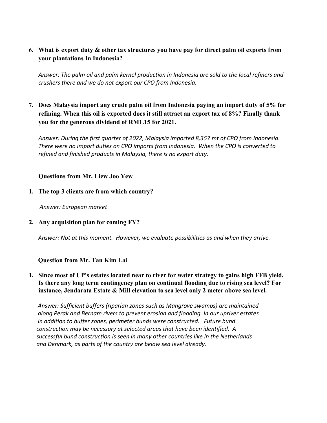# **6. What is export duty & other tax structures you have pay for direct palm oil exports from your plantations In Indonesia?**

*Answer: The palm oil and palm kernel production in Indonesia are sold to the local refiners and crushers there and we do not export our CPO from Indonesia.*

**7. Does Malaysia import any crude palm oil from Indonesia paying an import duty of 5% for refining. When this oil is exported does it still attract an export tax of 8%? Finally thank you for the generous dividend of RM1.15 for 2021.**

*Answer: During the first quarter of 2022, Malaysia imported 8,357 mt of CPO from Indonesia. There were no import duties on CPO imports from Indonesia. When the CPO is converted to refined and finished products in Malaysia, there is no export duty.*

## **Questions from Mr. Liew Joo Yew**

**1. The top 3 clients are from which country?**

*Answer: European market*

**2. Any acquisition plan for coming FY?**

*Answer: Not at this moment. However, we evaluate possibilities as and when they arrive.*

## **Question from Mr. Tan Kim Lai**

# **1. Since most of UP's estates located near to river for water strategy to gains high FFB yield. Is there any long term contingency plan on continual flooding due to rising sea level? For instance, Jendarata Estate & Mill elevation to sea level only 2 meter above sea level.**

 *Answer: Sufficient buffers (riparian zones such as Mangrove swamps) are maintained along Perak and Bernam rivers to prevent erosion and flooding. In our upriver estates in addition to buffer zones, perimeter bunds were constructed. Future bund construction may be necessary at selected areas that have been identified. A successful bund construction is seen in many other countries like in the Netherlands and Denmark, as parts of the country are below sea level already.*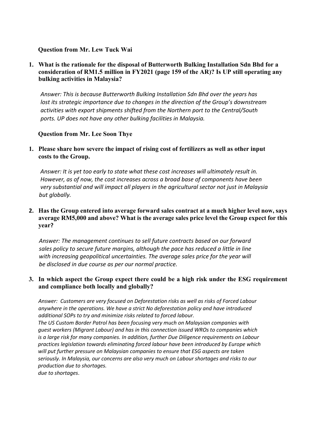#### **Question from Mr. Lew Tuck Wai**

**1. What is the rationale for the disposal of Butterworth Bulking Installation Sdn Bhd for a consideration of RM1.5 million in FY2021 (page 159 of the AR)? Is UP still operating any bulking activities in Malaysia?**

 *Answer: This is because Butterworth Bulking Installation Sdn Bhd over the years has lost its strategic importance due to changes in the direction of the Group's downstream activities with export shipments shifted from the Northern port to the Central/South ports. UP does not have any other bulking facilities in Malaysia.*

#### **Question from Mr. Lee Soon Thye**

**1. Please share how severe the impact of rising cost of fertilizers as well as other input costs to the Group.**

 *Answer: It is yet too early to state what these cost increases will ultimately result in. However, as of now, the cost increases across a broad base of components have been very substantial and will impact all players in the agricultural sector not just in Malaysia but globally.*

**2. Has the Group entered into average forward sales contract at a much higher level now, says average RM5,000 and above? What is the average sales price level the Group expect for this year?**

 *Answer: The management continues to sell future contracts based on our forward sales policy to secure future margins, although the pace has reduced a little in line with increasing geopolitical uncertainties. The average sales price for the year will be disclosed in due course as per our normal practice.*

#### **3. In which aspect the Group expect there could be a high risk under the ESG requirement and compliance both locally and globally?**

 *Answer: Customers are very focused on Deforestation risks as well as risks of Forced Labour anywhere in the operations. We have a strict No deforestation policy and have introduced additional SOPs to try and minimize risks related to forced labour. The US Custom Border Patrol has been focusing very much on Malaysian companies with guest workers (Migrant Labour) and has in this connection issued WROs to companies which is a large risk for many companies. In addition, further Due Diligence requirements on Labour practices legislation towards eliminating forced labour have been introduced by Europe which will put further pressure on Malaysian companies to ensure that ESG aspects are taken seriously. In Malaysia, our concerns are also very much on Labour shortages and risks to our production due to shortages.*

 *due to shortages*.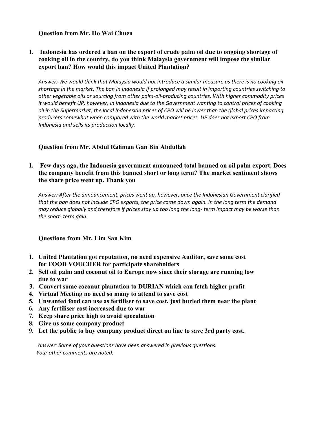#### **Question from Mr. Ho Wai Chuen**

**1. Indonesia has ordered a ban on the export of crude palm oil due to ongoing shortage of cooking oil in the country, do you think Malaysia government will impose the similar export ban? How would this impact United Plantation?**

 *Answer: We would think that Malaysia would not introduce a similar measure as there is no cooking oil shortage in the market. The ban in Indonesia if prolonged may result in importing countries switching to other vegetable oils or sourcing from other palm-oil-producing countries. With higher commodity prices it would benefit UP, however, in Indonesia due to the Government wanting to control prices of cooking oil in the Supermarket, the local Indonesian prices of CPO will be lower than the global prices impacting producers somewhat when compared with the world market prices. UP does not export CPO from Indonesia and sells its production locally.*

## **Question from Mr. Abdul Rahman Gan Bin Abdullah**

**1. Few days ago, the Indonesia government announced total banned on oil palm export. Does the company benefit from this banned short or long term? The market sentiment shows the share price went up. Thank you**

*Answer: After the announcement, prices went up, however, once the Indonesian Government clarified that the ban does not include CPO exports, the price came down again. In the long term the demand may reduce globally and therefore if prices stay up too long the long- term impact may be worse than the short- term gain.*

#### **Questions from Mr. Lim San Kim**

- **1. United Plantation got reputation, no need expensive Auditor, save some cost for FOOD VOUCHER for participate shareholders**
- **2. Sell oil palm and coconut oil to Europe now since their storage are running low due to war**
- **3. Convert some coconut plantation to DURIAN which can fetch higher profit**
- **4. Virtual Meeting no need so many to attend to save cost**
- **5. Unwanted food can use as fertiliser to save cost, just buried them near the plant**
- **6. Any fertiliser cost increased due to war**
- **7. Keep share price high to avoid speculation**
- **8. Give us some company product**
- **9. Let the public to buy company product direct on line to save 3rd party cost.**

 *Answer: Some of your questions have been answered in previous questions. Your other comments are noted.*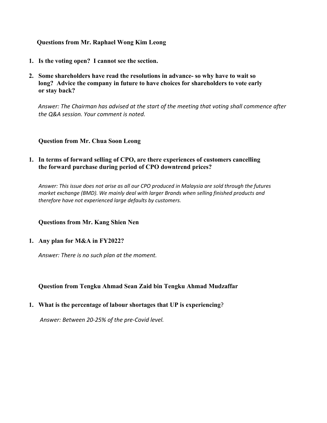#### **Questions from Mr. Raphael Wong Kim Leong**

- **1. Is the voting open? I cannot see the section.**
- **2. Some shareholders have read the resolutions in advance- so why have to wait so long? Advice the company in future to have choices for shareholders to vote early or stay back?**

*Answer: The Chairman has advised at the start of the meeting that voting shall commence after the Q&A session. Your comment is noted.*

#### **Question from Mr. Chua Soon Leong**

#### **1. In terms of forward selling of CPO, are there experiences of customers cancelling the forward purchase during period of CPO downtrend prices?**

 *Answer: This issue does not arise as all our CPO produced in Malaysia are sold through the futures market exchange (BMD). We mainly deal with larger Brands when selling finished products and therefore have not experienced large defaults by customers.*

**Questions from Mr. Kang Shien Nen**

#### **1. Any plan for M&A in FY2022?**

*Answer: There is no such plan at the moment.*

## **Question from Tengku Ahmad Sean Zaid bin Tengku Ahmad Mudzaffar**

#### **1. What is the percentage of labour shortages that UP is experiencing**?

*Answer: Between 20-25% of the pre-Covid level.*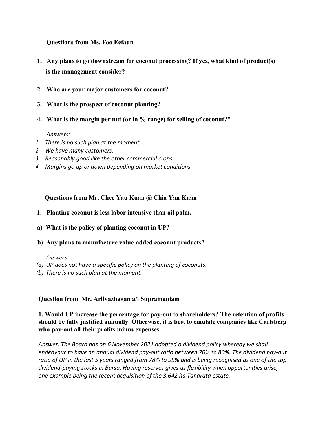**Questions from Ms. Foo Eefaun** 

- **1. Any plans to go downstream for coconut processing? If yes, what kind of product(s) is the management consider?**
- **2. Who are your major customers for coconut?**
- **3. What is the prospect of coconut planting?**
- **4. What is the margin per nut (or in % range) for selling of coconut?"**

#### *Answers:*

- *1. There is no such plan at the moment.*
- *2. We have many customers.*
- *3. Reasonably good like the other commercial crops.*
- *4. Margins go up or down depending on market conditions.*

 **Questions from Mr. Chee Yau Kuan @ Chia Yan Kuan**

- **1. Planting coconut is less labor intensive than oil palm.**
- **a) What is the policy of planting coconut in UP?**
- **b) Any plans to manufacture value-added coconut products?**

*Answers:*

- *(a) UP does not have a specific policy on the planting of coconuts.*
- *(b) There is no such plan at the moment.*

#### **Question from Mr. Ariivazhagan a/l Supramaniam**

#### **1. Would UP increase the percentage for pay-out to shareholders? The retention of profits should be fully justified annually. Otherwise, it is best to emulate companies like Carlsberg who pay-out all their profits minus expenses.**

*Answer: The Board has on 6 November 2021 adopted a dividend policy whereby we shall endeavour to have an annual dividend pay-out ratio between 70% to 80%. The dividend pay-out ratio of UP in the last 5 years ranged from 78% to 99% and is being recognised as one of the top dividend-paying stocks in Bursa. Having reserves gives us flexibility when opportunities arise, one example being the recent acquisition of the 3,642 ha Tanarata estate.*